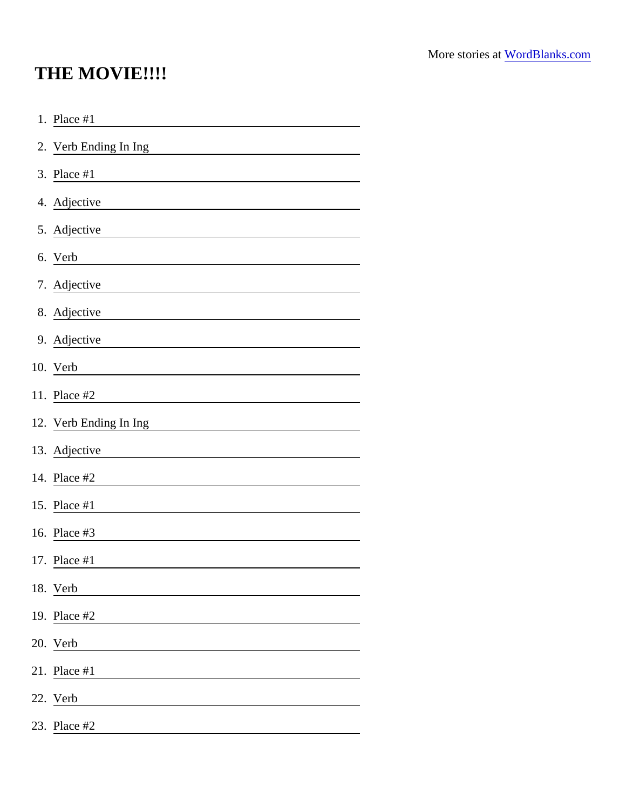## THE MOVIE!!!!

| 1. Place #1                                                       |
|-------------------------------------------------------------------|
| 2. Verb Ending In Ing                                             |
| 3. Place #1                                                       |
| 4. Adjective                                                      |
| 5. Adjective                                                      |
| 6. Verb                                                           |
| 7. Adjective                                                      |
| 8. Adjective                                                      |
| 9. Adjective                                                      |
| 10. Verb<br><u> 1989 - Andrea State Barbara, poeta esperanto-</u> |
| 11. Place #2                                                      |
| 12. Verb Ending In Ing                                            |
| 13. Adjective                                                     |
| 14. Place #2                                                      |
| 15. Place #1                                                      |
| 16. Place #3                                                      |
| 17. Place #1                                                      |
| 18. Verb                                                          |
| 19. Place #2                                                      |
| 20. Verb                                                          |
| 21. Place #1                                                      |
| 22. Verb                                                          |
| 23. Place #2                                                      |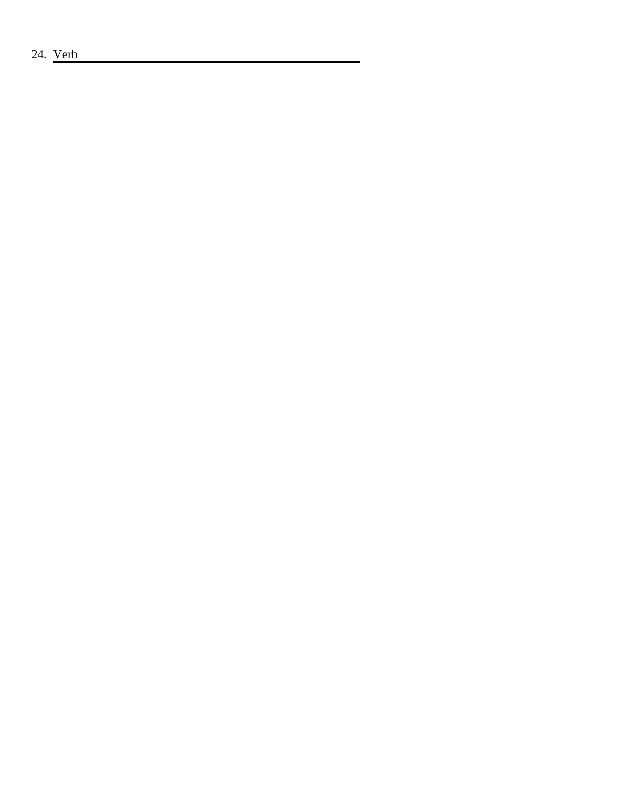24. Verb